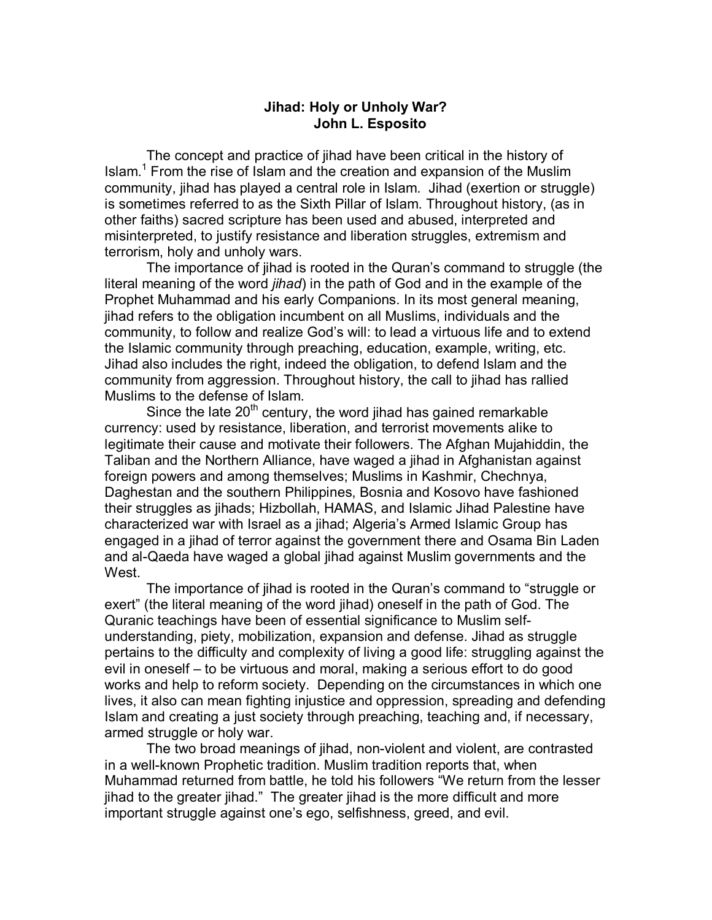## **Jihad: Holy or Unholy War? John L. Esposito**

The concept and practice of jihad have been critical in the history of Islam.<sup>1</sup> From the rise of Islam and the creation and expansion of the Muslim community, jihad has played a central role in Islam. Jihad (exertion or struggle) is sometimes referred to as the Sixth Pillar of Islam. Throughout history, (as in other faiths) sacred scripture has been used and abused, interpreted and misinterpreted, to justify resistance and liberation struggles, extremism and terrorism, holy and unholy wars.

The importance of jihad is rooted in the Quran's command to struggle (the literal meaning of the word *jihad*) in the path of God and in the example of the Prophet Muhammad and his early Companions. In its most general meaning, jihad refers to the obligation incumbent on all Muslims, individuals and the community, to follow and realize God's will: to lead a virtuous life and to extend the Islamic community through preaching, education, example, writing, etc. Jihad also includes the right, indeed the obligation, to defend Islam and the community from aggression. Throughout history, the call to jihad has rallied Muslims to the defense of Islam.

Since the late  $20<sup>th</sup>$  century, the word jihad has gained remarkable currency: used by resistance, liberation, and terrorist movements alike to legitimate their cause and motivate their followers. The Afghan Mujahiddin, the Taliban and the Northern Alliance, have waged a jihad in Afghanistan against foreign powers and among themselves; Muslims in Kashmir, Chechnya, Daghestan and the southern Philippines, Bosnia and Kosovo have fashioned their struggles as jihads; Hizbollah, HAMAS, and Islamic Jihad Palestine have characterized war with Israel as a jihad; Algeriaís Armed Islamic Group has engaged in a jihad of terror against the government there and Osama Bin Laden and al-Qaeda have waged a global jihad against Muslim governments and the West.

The importance of jihad is rooted in the Quran's command to "struggle or exert" (the literal meaning of the word jihad) oneself in the path of God. The Quranic teachings have been of essential significance to Muslim selfunderstanding, piety, mobilization, expansion and defense. Jihad as struggle pertains to the difficulty and complexity of living a good life: struggling against the evil in oneself - to be virtuous and moral, making a serious effort to do good works and help to reform society. Depending on the circumstances in which one lives, it also can mean fighting injustice and oppression, spreading and defending Islam and creating a just society through preaching, teaching and, if necessary, armed struggle or holy war.

The two broad meanings of jihad, non-violent and violent, are contrasted in a well-known Prophetic tradition. Muslim tradition reports that, when Muhammad returned from battle, he told his followers "We return from the lesser jihad to the greater jihad." The greater jihad is the more difficult and more important struggle against one's ego, selfishness, greed, and evil.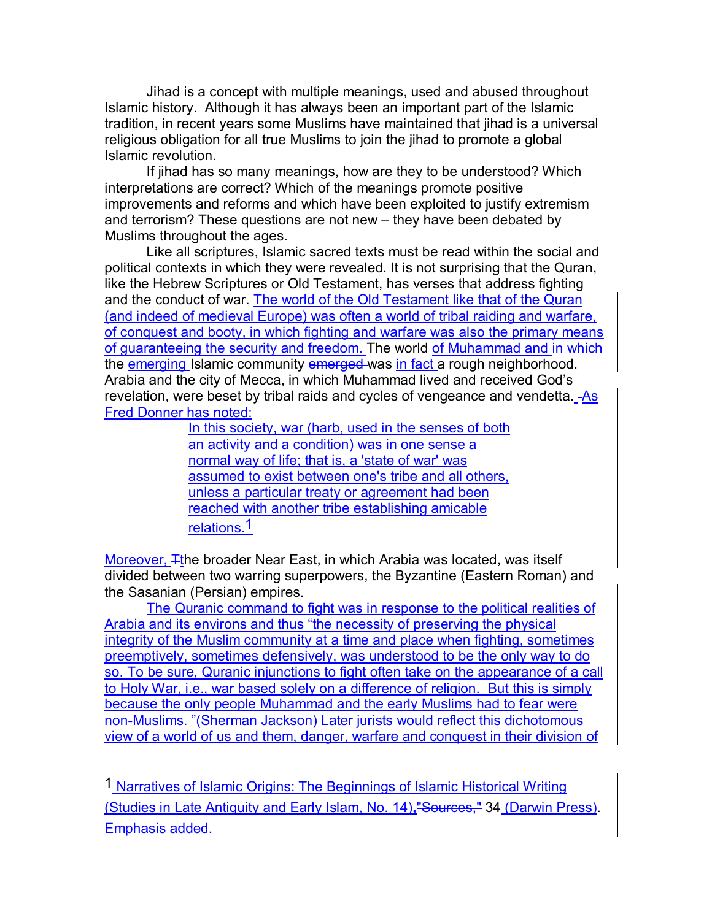Jihad is a concept with multiple meanings, used and abused throughout Islamic history. Although it has always been an important part of the Islamic tradition, in recent years some Muslims have maintained that jihad is a universal religious obligation for all true Muslims to join the jihad to promote a global Islamic revolution.

If jihad has so many meanings, how are they to be understood? Which interpretations are correct? Which of the meanings promote positive improvements and reforms and which have been exploited to justify extremism and terrorism? These questions are not new  $-$  they have been debated by Muslims throughout the ages.

Like all scriptures, Islamic sacred texts must be read within the social and political contexts in which they were revealed. It is not surprising that the Quran, like the Hebrew Scriptures or Old Testament, has verses that address fighting and the conduct of war. The world of the Old Testament like that of the Quran (and indeed of medieval Europe) was often a world of tribal raiding and warfare, of conquest and booty, in which fighting and warfare was also the primary means of guaranteeing the security and freedom. The world of Muhammad and in which the emerging Islamic community emerged was in fact a rough neighborhood. Arabia and the city of Mecca, in which Muhammad lived and received God's revelation, were beset by tribal raids and cycles of vengeance and vendetta.  $-AS$ Fred Donner has noted:

In this society, war (harb, used in the senses of both an activity and a condition) was in one sense a normal way of life; that is, a 'state of war' was assumed to exist between one's tribe and all others, unless a particular treaty or agreement had been reached with another tribe establishing amicable relations.1

Moreover, Tthe broader Near East, in which Arabia was located, was itself divided between two warring superpowers, the Byzantine (Eastern Roman) and the Sasanian (Persian) empires.

The Quranic command to fight was in response to the political realities of Arabia and its environs and thus "the necessity of preserving the physical integrity of the Muslim community at a time and place when fighting, sometimes preemptively, sometimes defensively, was understood to be the only way to do so. To be sure, Quranic injunctions to fight often take on the appearance of a call to Holy War, i.e., war based solely on a difference of religion. But this is simply because the only people Muhammad and the early Muslims had to fear were non-Muslims. "(Sherman Jackson) Later jurists would reflect this dichotomous view of a world of us and them, danger, warfare and conquest in their division of

 $\overline{a}$ 

<sup>1</sup> Narratives of Islamic Origins: The Beginnings of Islamic Historical Writing (Studies in Late Antiquity and Early Islam, No. 14)**,**"Sources," 34 (Darwin Press). Emphasis added.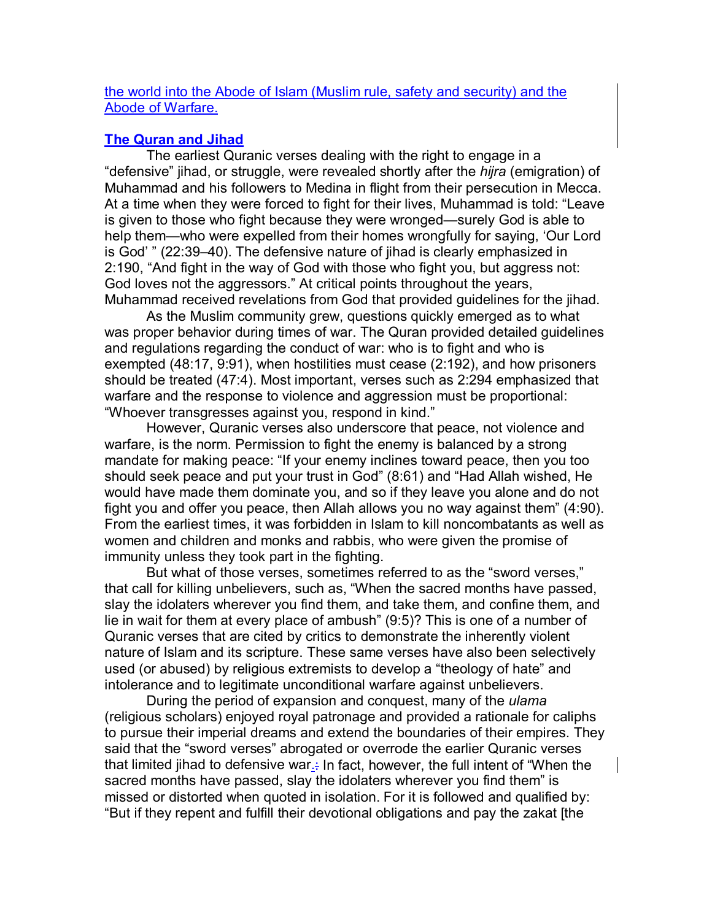the world into the Abode of Islam (Muslim rule, safety and security) and the Abode of Warfare.

## **The Quran and Jihad**

The earliest Quranic verses dealing with the right to engage in a ìdefensiveî jihad, or struggle, were revealed shortly after the *hijra* (emigration) of Muhammad and his followers to Medina in flight from their persecution in Mecca. At a time when they were forced to fight for their lives, Muhammad is told: "Leave is given to those who fight because they were wronged—surely God is able to help them—who were expelled from their homes wrongfully for saying, 'Our Lord is God'" (22:39–40). The defensive nature of jihad is clearly emphasized in 2:190, "And fight in the way of God with those who fight you, but aggress not: God loves not the aggressors." At critical points throughout the years, Muhammad received revelations from God that provided guidelines for the jihad.

As the Muslim community grew, questions quickly emerged as to what was proper behavior during times of war. The Quran provided detailed guidelines and regulations regarding the conduct of war: who is to fight and who is exempted (48:17, 9:91), when hostilities must cease (2:192), and how prisoners should be treated (47:4). Most important, verses such as 2:294 emphasized that warfare and the response to violence and aggression must be proportional: "Whoever transgresses against you, respond in kind."

However, Quranic verses also underscore that peace, not violence and warfare, is the norm. Permission to fight the enemy is balanced by a strong mandate for making peace: "If your enemy inclines toward peace, then you too should seek peace and put your trust in God" (8:61) and "Had Allah wished, He would have made them dominate you, and so if they leave you alone and do not fight you and offer you peace, then Allah allows you no way against them" (4:90). From the earliest times, it was forbidden in Islam to kill noncombatants as well as women and children and monks and rabbis, who were given the promise of immunity unless they took part in the fighting.

But what of those verses, sometimes referred to as the "sword verses," that call for killing unbelievers, such as, "When the sacred months have passed, slay the idolaters wherever you find them, and take them, and confine them, and lie in wait for them at every place of ambush"  $(9.5)$ ? This is one of a number of Quranic verses that are cited by critics to demonstrate the inherently violent nature of Islam and its scripture. These same verses have also been selectively used (or abused) by religious extremists to develop a "theology of hate" and intolerance and to legitimate unconditional warfare against unbelievers.

During the period of expansion and conquest, many of the *ulama* (religious scholars) enjoyed royal patronage and provided a rationale for caliphs to pursue their imperial dreams and extend the boundaries of their empires. They said that the "sword verses" abrogated or overrode the earlier Quranic verses that limited jihad to defensive war $\div$  In fact, however, the full intent of "When the sacred months have passed, slay the idolaters wherever you find them" is missed or distorted when quoted in isolation. For it is followed and qualified by: "But if they repent and fulfill their devotional obligations and pay the zakat [the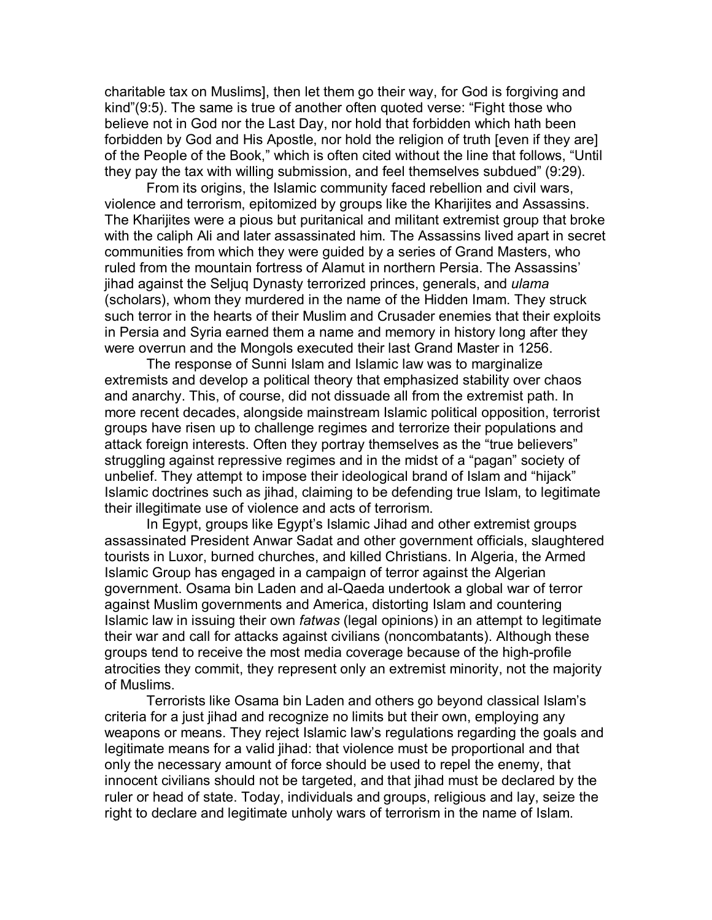charitable tax on Muslims], then let them go their way, for God is forgiving and  $\frac{1}{2}$  kind"(9:5). The same is true of another often quoted verse: "Fight those who believe not in God nor the Last Day, nor hold that forbidden which hath been forbidden by God and His Apostle, nor hold the religion of truth [even if they are] of the People of the Book," which is often cited without the line that follows, "Until they pay the tax with willing submission, and feel themselves subdued" (9:29).

From its origins, the Islamic community faced rebellion and civil wars, violence and terrorism, epitomized by groups like the Kharijites and Assassins. The Kharijites were a pious but puritanical and militant extremist group that broke with the caliph Ali and later assassinated him. The Assassins lived apart in secret communities from which they were guided by a series of Grand Masters, who ruled from the mountain fortress of Alamut in northern Persia. The Assassins' jihad against the Seljuq Dynasty terrorized princes, generals, and *ulama* (scholars), whom they murdered in the name of the Hidden Imam. They struck such terror in the hearts of their Muslim and Crusader enemies that their exploits in Persia and Syria earned them a name and memory in history long after they were overrun and the Mongols executed their last Grand Master in 1256.

The response of Sunni Islam and Islamic law was to marginalize extremists and develop a political theory that emphasized stability over chaos and anarchy. This, of course, did not dissuade all from the extremist path. In more recent decades, alongside mainstream Islamic political opposition, terrorist groups have risen up to challenge regimes and terrorize their populations and attack foreign interests. Often they portray themselves as the "true believers" struggling against repressive regimes and in the midst of a "pagan" society of unbelief. They attempt to impose their ideological brand of Islam and "hijack" Islamic doctrines such as jihad, claiming to be defending true Islam, to legitimate their illegitimate use of violence and acts of terrorism.

In Egypt, groups like Egypt's Islamic Jihad and other extremist groups assassinated President Anwar Sadat and other government officials, slaughtered tourists in Luxor, burned churches, and killed Christians. In Algeria, the Armed Islamic Group has engaged in a campaign of terror against the Algerian government. Osama bin Laden and al-Qaeda undertook a global war of terror against Muslim governments and America, distorting Islam and countering Islamic law in issuing their own *fatwas* (legal opinions) in an attempt to legitimate their war and call for attacks against civilians (noncombatants). Although these groups tend to receive the most media coverage because of the high-profile atrocities they commit, they represent only an extremist minority, not the majority of Muslims.

Terrorists like Osama bin Laden and others go beyond classical Islamís criteria for a just jihad and recognize no limits but their own, employing any weapons or means. They reject Islamic lawís regulations regarding the goals and legitimate means for a valid jihad: that violence must be proportional and that only the necessary amount of force should be used to repel the enemy, that innocent civilians should not be targeted, and that jihad must be declared by the ruler or head of state. Today, individuals and groups, religious and lay, seize the right to declare and legitimate unholy wars of terrorism in the name of Islam.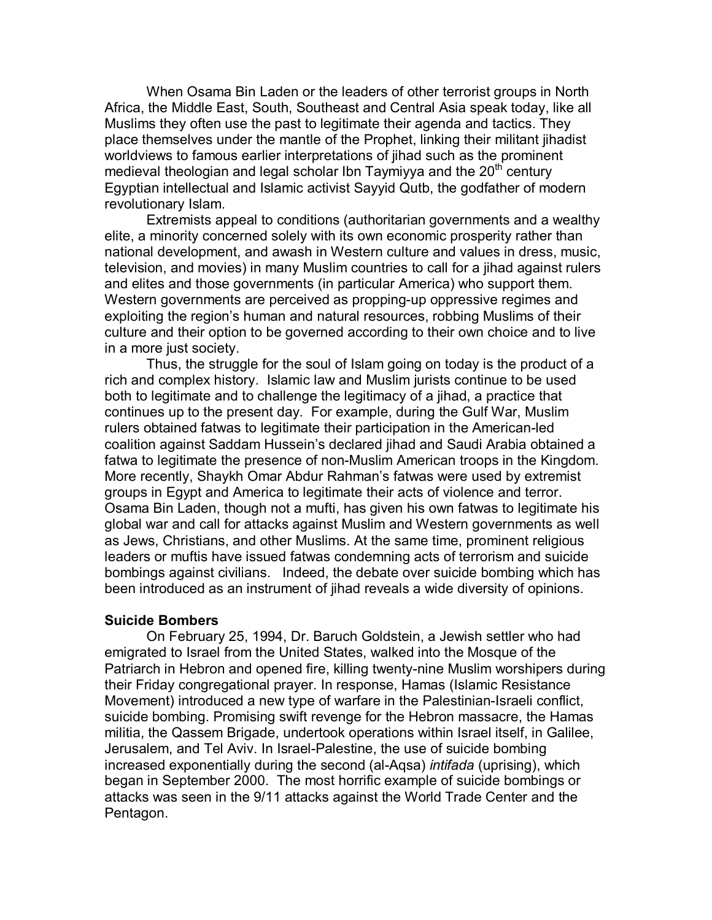When Osama Bin Laden or the leaders of other terrorist groups in North Africa, the Middle East, South, Southeast and Central Asia speak today, like all Muslims they often use the past to legitimate their agenda and tactics. They place themselves under the mantle of the Prophet, linking their militant jihadist worldviews to famous earlier interpretations of jihad such as the prominent medieval theologian and legal scholar Ibn Taymiyya and the  $20<sup>th</sup>$  century Egyptian intellectual and Islamic activist Sayyid Qutb, the godfather of modern revolutionary Islam.

Extremists appeal to conditions (authoritarian governments and a wealthy elite, a minority concerned solely with its own economic prosperity rather than national development, and awash in Western culture and values in dress, music, television, and movies) in many Muslim countries to call for a jihad against rulers and elites and those governments (in particular America) who support them. Western governments are perceived as propping-up oppressive regimes and exploiting the region's human and natural resources, robbing Muslims of their culture and their option to be governed according to their own choice and to live in a more just society.

Thus, the struggle for the soul of Islam going on today is the product of a rich and complex history. Islamic law and Muslim jurists continue to be used both to legitimate and to challenge the legitimacy of a jihad, a practice that continues up to the present day. For example, during the Gulf War, Muslim rulers obtained fatwas to legitimate their participation in the American-led coalition against Saddam Hussein's declared jihad and Saudi Arabia obtained a fatwa to legitimate the presence of non-Muslim American troops in the Kingdom. More recently, Shaykh Omar Abdur Rahmanís fatwas were used by extremist groups in Egypt and America to legitimate their acts of violence and terror. Osama Bin Laden, though not a mufti, has given his own fatwas to legitimate his global war and call for attacks against Muslim and Western governments as well as Jews, Christians, and other Muslims. At the same time, prominent religious leaders or muftis have issued fatwas condemning acts of terrorism and suicide bombings against civilians. Indeed, the debate over suicide bombing which has been introduced as an instrument of jihad reveals a wide diversity of opinions.

## **Suicide Bombers**

On February 25, 1994, Dr. Baruch Goldstein, a Jewish settler who had emigrated to Israel from the United States, walked into the Mosque of the Patriarch in Hebron and opened fire, killing twenty-nine Muslim worshipers during their Friday congregational prayer. In response, Hamas (Islamic Resistance Movement) introduced a new type of warfare in the Palestinian-Israeli conflict, suicide bombing. Promising swift revenge for the Hebron massacre, the Hamas militia, the Qassem Brigade, undertook operations within Israel itself, in Galilee, Jerusalem, and Tel Aviv. In Israel-Palestine, the use of suicide bombing increased exponentially during the second (al-Aqsa) *intifada* (uprising), which began in September 2000. The most horrific example of suicide bombings or attacks was seen in the 9/11 attacks against the World Trade Center and the Pentagon.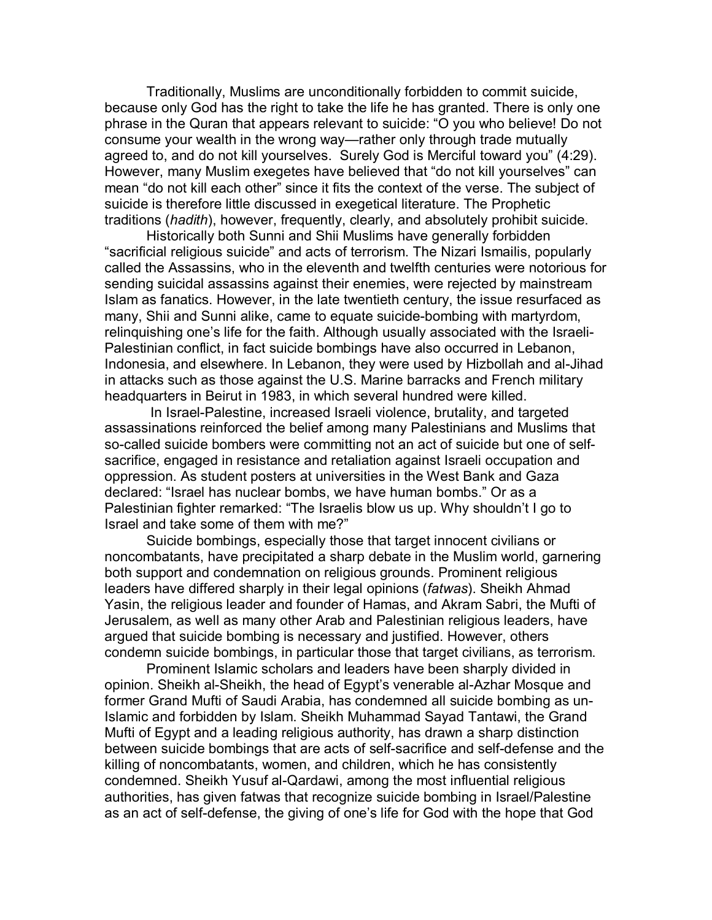Traditionally, Muslims are unconditionally forbidden to commit suicide, because only God has the right to take the life he has granted. There is only one phrase in the Quran that appears relevant to suicide: "O you who believe! Do not consume your wealth in the wrong way—rather only through trade mutually agreed to, and do not kill yourselves. Surely God is Merciful toward you" (4:29). However, many Muslim exegetes have believed that "do not kill yourselves" can mean "do not kill each other" since it fits the context of the verse. The subject of suicide is therefore little discussed in exegetical literature. The Prophetic traditions (*hadith*), however, frequently, clearly, and absolutely prohibit suicide.

Historically both Sunni and Shii Muslims have generally forbidden "sacrificial religious suicide" and acts of terrorism. The Nizari Ismailis, popularly called the Assassins, who in the eleventh and twelfth centuries were notorious for sending suicidal assassins against their enemies, were rejected by mainstream Islam as fanatics. However, in the late twentieth century, the issue resurfaced as many, Shii and Sunni alike, came to equate suicide-bombing with martyrdom, relinguishing one's life for the faith. Although usually associated with the Israeli-Palestinian conflict, in fact suicide bombings have also occurred in Lebanon, Indonesia, and elsewhere. In Lebanon, they were used by Hizbollah and al-Jihad in attacks such as those against the U.S. Marine barracks and French military headquarters in Beirut in 1983, in which several hundred were killed.

 In Israel-Palestine, increased Israeli violence, brutality, and targeted assassinations reinforced the belief among many Palestinians and Muslims that so-called suicide bombers were committing not an act of suicide but one of selfsacrifice, engaged in resistance and retaliation against Israeli occupation and oppression. As student posters at universities in the West Bank and Gaza declared: "Israel has nuclear bombs, we have human bombs." Or as a Palestinian fighter remarked: "The Israelis blow us up. Why shouldn't I go to Israel and take some of them with me?"

Suicide bombings, especially those that target innocent civilians or noncombatants, have precipitated a sharp debate in the Muslim world, garnering both support and condemnation on religious grounds. Prominent religious leaders have differed sharply in their legal opinions (*fatwas*). Sheikh Ahmad Yasin, the religious leader and founder of Hamas, and Akram Sabri, the Mufti of Jerusalem, as well as many other Arab and Palestinian religious leaders, have argued that suicide bombing is necessary and justified. However, others condemn suicide bombings, in particular those that target civilians, as terrorism.

Prominent Islamic scholars and leaders have been sharply divided in opinion. Sheikh al-Sheikh, the head of Egypt's venerable al-Azhar Mosque and former Grand Mufti of Saudi Arabia, has condemned all suicide bombing as un-Islamic and forbidden by Islam. Sheikh Muhammad Sayad Tantawi, the Grand Mufti of Egypt and a leading religious authority, has drawn a sharp distinction between suicide bombings that are acts of self-sacrifice and self-defense and the killing of noncombatants, women, and children, which he has consistently condemned. Sheikh Yusuf al-Qardawi, among the most influential religious authorities, has given fatwas that recognize suicide bombing in Israel/Palestine as an act of self-defense, the giving of one's life for God with the hope that God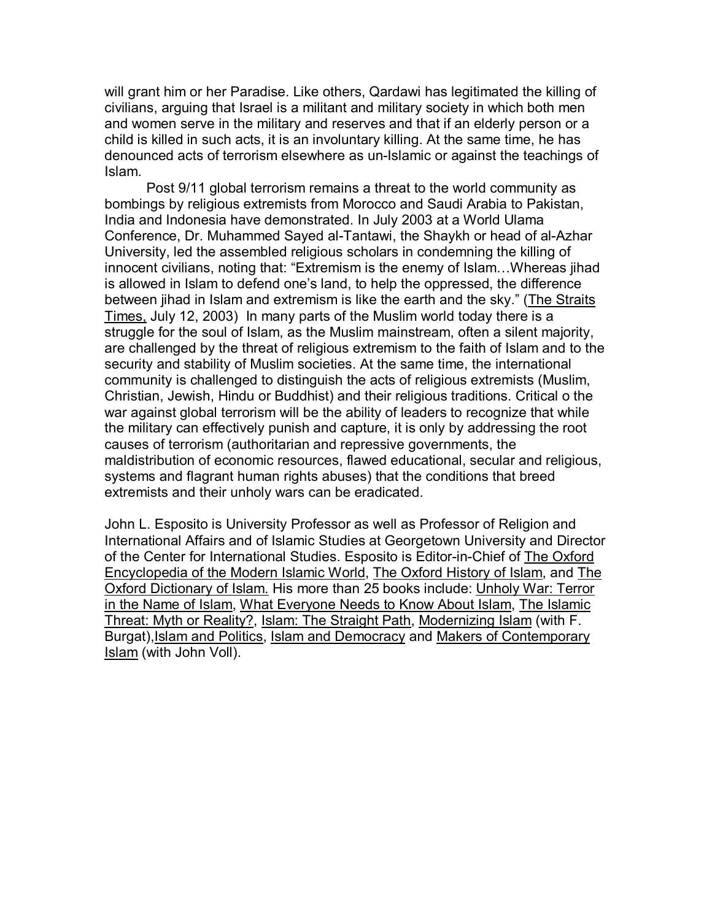will grant him or her Paradise. Like others, Qardawi has legitimated the killing of civilians, arguing that Israel is a militant and military society in which both men and women serve in the military and reserves and that if an elderly person or a child is killed in such acts, it is an involuntary killing. At the same time, he has denounced acts of terrorism elsewhere as un-Islamic or against the teachings of Islam.

Post 9/11 global terrorism remains a threat to the world community as bombings by religious extremists from Morocco and Saudi Arabia to Pakistan, India and Indonesia have demonstrated. In July 2003 at a World Ulama Conference, Dr. Muhammed Sayed al-Tantawi, the Shaykh or head of al-Azhar University, led the assembled religious scholars in condemning the killing of innocent civilians, noting that: "Extremism is the enemy of Islam...Whereas jihad is allowed in Islam to defend one's land, to help the oppressed, the difference between jihad in Islam and extremism is like the earth and the sky." (The Straits Times, July 12, 2003) In many parts of the Muslim world today there is a struggle for the soul of Islam, as the Muslim mainstream, often a silent majority, are challenged by the threat of religious extremism to the faith of Islam and to the security and stability of Muslim societies. At the same time, the international community is challenged to distinguish the acts of religious extremists (Muslim, Christian, Jewish, Hindu or Buddhist) and their religious traditions. Critical o the war against global terrorism will be the ability of leaders to recognize that while the military can effectively punish and capture, it is only by addressing the root causes of terrorism (authoritarian and repressive governments, the maldistribution of economic resources, flawed educational, secular and religious, systems and flagrant human rights abuses) that the conditions that breed extremists and their unholy wars can be eradicated.

John L. Esposito is University Professor as well as Professor of Religion and International Affairs and of Islamic Studies at Georgetown University and Director of the Center for International Studies. Esposito is Editor-in-Chief of The Oxford Encyclopedia of the Modern Islamic World, The Oxford History of Islam, and The Oxford Dictionary of Islam. His more than 25 books include: Unholy War: Terror in the Name of Islam, What Everyone Needs to Know About Islam, The Islamic Threat: Myth or Reality?, Islam: The Straight Path, Modernizing Islam (with F. Burgat), Islam and Politics, Islam and Democracy and Makers of Contemporary Islam (with John Voll).